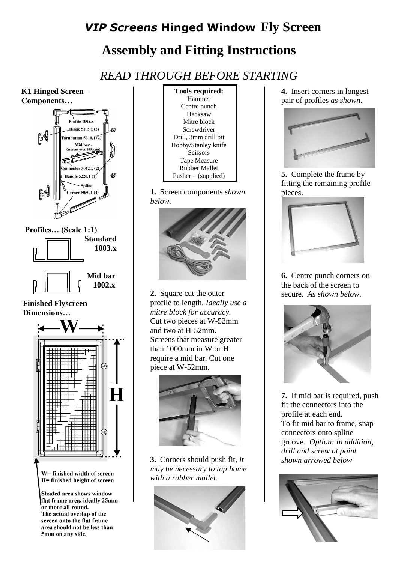## *VIP Screens* **Hinged Window Fly Screen Assembly and Fitting Instructions**

*READ THROUGH BEFORE STARTING*





**1.** Screen components *shown below.*



**2.** Square cut the outer profile to length. *Ideally use a mitre block for accuracy.*  Cut two pieces at W-52mm and two at H-52mm. Screens that measure greater than 1000mm in W or H require a mid bar. Cut one piece at W-52mm.



**3.** Corners should push fit, *it may be necessary to tap home with a rubber mallet.* 



**4.** Insert corners in longest pair of profiles *as shown*.



**5.** Complete the frame by fitting the remaining profile pieces.



**6.** Centre punch corners on the back of the screen to secure. *As shown below*.



**7.** If mid bar is required, push fit the connectors into the profile at each end. To fit mid bar to frame, snap connectors onto spline groove. *Option: in addition, drill and screw at point shown arrowed below*